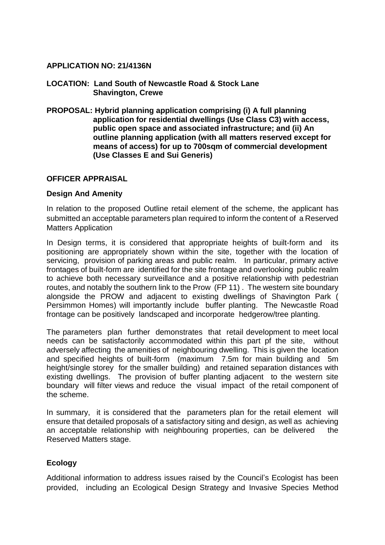## **APPLICATION NO: 21/4136N**

- **LOCATION: Land South of Newcastle Road & Stock Lane Shavington, Crewe**
- **PROPOSAL: Hybrid planning application comprising (i) A full planning application for residential dwellings (Use Class C3) with access, public open space and associated infrastructure; and (ii) An outline planning application (with all matters reserved except for means of access) for up to 700sqm of commercial development (Use Classes E and Sui Generis)**

## **OFFICER APPRAISAL**

### **Design And Amenity**

In relation to the proposed Outline retail element of the scheme, the applicant has submitted an acceptable parameters plan required to inform the content of a Reserved Matters Application

In Design terms, it is considered that appropriate heights of built-form and its positioning are appropriately shown within the site, together with the location of servicing, provision of parking areas and public realm. In particular, primary active frontages of built-form are identified for the site frontage and overlooking public realm to achieve both necessary surveillance and a positive relationship with pedestrian routes, and notably the southern link to the Prow (FP 11) . The western site boundary alongside the PROW and adjacent to existing dwellings of Shavington Park ( Persimmon Homes) will importantly include buffer planting. The Newcastle Road frontage can be positively landscaped and incorporate hedgerow/tree planting.

The parameters plan further demonstrates that retail development to meet local needs can be satisfactorily accommodated within this part pf the site, without adversely affecting the amenities of neighbouring dwelling. This is given the location and specified heights of built-form (maximum 7.5m for main building and 5m height/single storey for the smaller building) and retained separation distances with existing dwellings. The provision of buffer planting adjacent to the western site boundary will filter views and reduce the visual impact of the retail component of the scheme.

In summary, it is considered that the parameters plan for the retail element will ensure that detailed proposals of a satisfactory siting and design, as well as achieving an acceptable relationship with neighbouring properties, can be delivered the Reserved Matters stage.

## **Ecology**

Additional information to address issues raised by the Council's Ecologist has been provided, including an Ecological Design Strategy and Invasive Species Method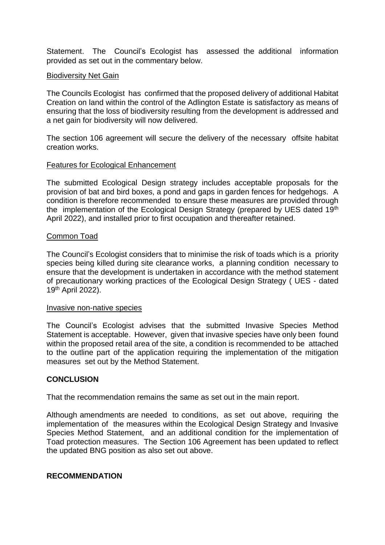Statement. The Council's Ecologist has assessed the additional information provided as set out in the commentary below.

### Biodiversity Net Gain

The Councils Ecologist has confirmed that the proposed delivery of additional Habitat Creation on land within the control of the Adlington Estate is satisfactory as means of ensuring that the loss of biodiversity resulting from the development is addressed and a net gain for biodiversity will now delivered.

The section 106 agreement will secure the delivery of the necessary offsite habitat creation works.

### Features for Ecological Enhancement

The submitted Ecological Design strategy includes acceptable proposals for the provision of bat and bird boxes, a pond and gaps in garden fences for hedgehogs. A condition is therefore recommended to ensure these measures are provided through the implementation of the Ecological Design Strategy (prepared by UES dated 19th April 2022), and installed prior to first occupation and thereafter retained.

### Common Toad

The Council's Ecologist considers that to minimise the risk of toads which is a priority species being killed during site clearance works, a planning condition necessary to ensure that the development is undertaken in accordance with the method statement of precautionary working practices of the Ecological Design Strategy ( UES - dated 19th April 2022).

#### Invasive non-native species

The Council's Ecologist advises that the submitted Invasive Species Method Statement is acceptable. However, given that invasive species have only been found within the proposed retail area of the site, a condition is recommended to be attached to the outline part of the application requiring the implementation of the mitigation measures set out by the Method Statement.

## **CONCLUSION**

That the recommendation remains the same as set out in the main report.

Although amendments are needed to conditions, as set out above, requiring the implementation of the measures within the Ecological Design Strategy and Invasive Species Method Statement, and an additional condition for the implementation of Toad protection measures. The Section 106 Agreement has been updated to reflect the updated BNG position as also set out above.

## **RECOMMENDATION**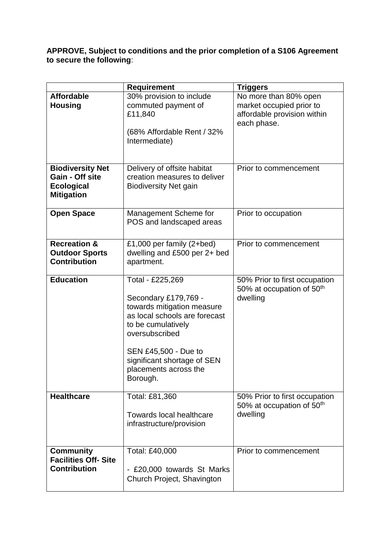**APPROVE, Subject to conditions and the prior completion of a S106 Agreement to secure the following**:

|                                                                                      | <b>Requirement</b>                                                                                                                                                                                                                          | <b>Triggers</b>                                                                                 |
|--------------------------------------------------------------------------------------|---------------------------------------------------------------------------------------------------------------------------------------------------------------------------------------------------------------------------------------------|-------------------------------------------------------------------------------------------------|
| <b>Affordable</b><br><b>Housing</b>                                                  | 30% provision to include<br>commuted payment of<br>£11,840<br>(68% Affordable Rent / 32%<br>Intermediate)                                                                                                                                   | No more than 80% open<br>market occupied prior to<br>affordable provision within<br>each phase. |
| <b>Biodiversity Net</b><br>Gain - Off site<br><b>Ecological</b><br><b>Mitigation</b> | Delivery of offsite habitat<br>creation measures to deliver<br><b>Biodiversity Net gain</b>                                                                                                                                                 | Prior to commencement                                                                           |
| <b>Open Space</b>                                                                    | Management Scheme for<br>POS and landscaped areas                                                                                                                                                                                           | Prior to occupation                                                                             |
| <b>Recreation &amp;</b><br><b>Outdoor Sports</b><br><b>Contribution</b>              | £1,000 per family (2+bed)<br>dwelling and £500 per 2+ bed<br>apartment.                                                                                                                                                                     | Prior to commencement                                                                           |
| <b>Education</b>                                                                     | Total - £225,269<br>Secondary £179,769 -<br>towards mitigation measure<br>as local schools are forecast<br>to be cumulatively<br>oversubscribed<br>SEN £45,500 - Due to<br>significant shortage of SEN<br>placements across the<br>Borough. | 50% Prior to first occupation<br>50% at occupation of 50 <sup>th</sup><br>dwelling              |
| <b>Healthcare</b>                                                                    | Total: £81,360<br><b>Towards local healthcare</b><br>infrastructure/provision                                                                                                                                                               | 50% Prior to first occupation<br>50% at occupation of 50 <sup>th</sup><br>dwelling              |
| <b>Community</b><br><b>Facilities Off-Site</b><br><b>Contribution</b>                | Total: £40,000<br>- £20,000 towards St Marks<br>Church Project, Shavington                                                                                                                                                                  | Prior to commencement                                                                           |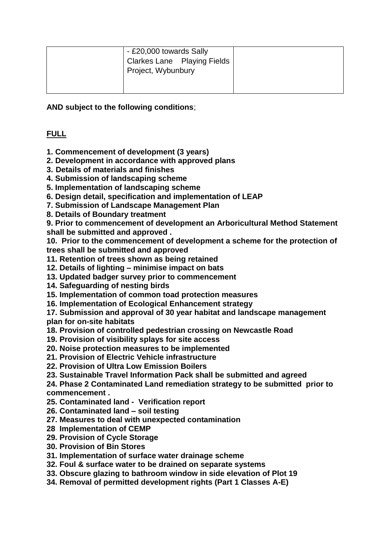| - £20,000 towards Sally<br><b>Clarkes Lane</b> Playing Fields<br>Project, Wybunbury |  |
|-------------------------------------------------------------------------------------|--|
|                                                                                     |  |

**AND subject to the following conditions**;

# **FULL**

**1. Commencement of development (3 years)**

- **2. Development in accordance with approved plans**
- **3. Details of materials and finishes**
- **4. Submission of landscaping scheme**
- **5. Implementation of landscaping scheme**
- **6. Design detail, specification and implementation of LEAP**
- **7. Submission of Landscape Management Plan**
- **8. Details of Boundary treatment**

**9. Prior to commencement of development an Arboricultural Method Statement shall be submitted and approved .**

**10. Prior to the commencement of development a scheme for the protection of trees shall be submitted and approved** 

- **11. Retention of trees shown as being retained**
- **12. Details of lighting – minimise impact on bats**
- **13. Updated badger survey prior to commencement**
- **14. Safeguarding of nesting birds**
- **15. Implementation of common toad protection measures**
- **16. Implementation of Ecological Enhancement strategy**

**17. Submission and approval of 30 year habitat and landscape management plan for on-site habitats**

- **18. Provision of controlled pedestrian crossing on Newcastle Road**
- **19. Provision of visibility splays for site access**
- **20. Noise protection measures to be implemented**
- **21. Provision of Electric Vehicle infrastructure**
- **22. Provision of Ultra Low Emission Boilers**
- **23. Sustainable Travel Information Pack shall be submitted and agreed**

**24. Phase 2 Contaminated Land remediation strategy to be submitted prior to commencement .**

- **25. Contaminated land Verification report**
- **26. Contaminated land – soil testing**
- **27. Measures to deal with unexpected contamination**
- **28 Implementation of CEMP**
- **29. Provision of Cycle Storage**
- **30. Provision of Bin Stores**
- **31. Implementation of surface water drainage scheme**
- **32. Foul & surface water to be drained on separate systems**
- **33. Obscure glazing to bathroom window in side elevation of Plot 19**
- **34. Removal of permitted development rights (Part 1 Classes A-E)**